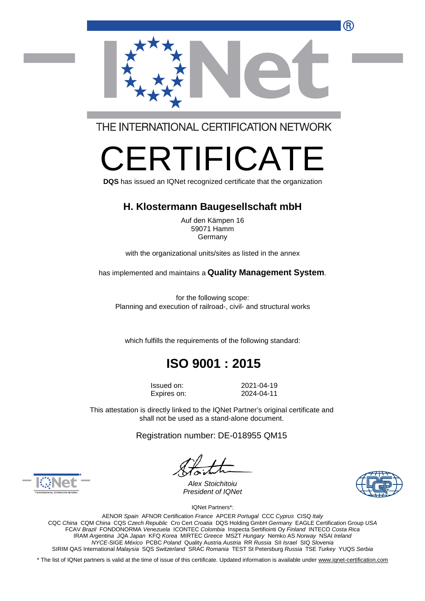

THE INTERNATIONAL CERTIFICATION NETWORK

# $\mathsf{\underline{\vdash}}\mathsf{R}\mathsf{\mathsf{IIFIC}}\mathsf{A}$

**DQS** has issued an IQNet recognized certificate that the organization

#### **H. Klostermann Baugesellschaft mbH**

Auf den Kämpen 16 59071 Hamm Germany

with the organizational units/sites as listed in the annex

has implemented and maintains a **Quality Management System**.

for the following scope: Planning and execution of railroad-, civil- and structural works

which fulfills the requirements of the following standard:

## **ISO 9001 : 2015**

Issued on: 2021-04-19 Expires on: 2024-04-11

This attestation is directly linked to the IQNet Partner's original certificate and shall not be used as a stand-alone document.

Registration number: DE-018955 QM15





*Alex Stoichitoiu President of IQNet*

IQNet Partners\*:

AENOR *Spain* AFNOR Certification *France* APCER *Portugal* CCC *Cyprus* CISQ *Italy*  CQC *China* CQM *China* CQS *Czech Republic* Cro Cert *Croatia* DQS Holding GmbH *Germany* EAGLE Certification Group *USA*  FCAV *Brazil* FONDONORMA *Venezuela* ICONTEC *Colombia* Inspecta Sertifiointi Oy *Finland* INTECO *Costa Rica*  IRAM *Argentina* JQA *Japan* KFQ *Korea* MIRTEC *Greece* MSZT *Hungary* Nemko AS *Norway* NSAI *Ireland NYCE-*SIGE *México* PCBC *Poland* Quality Austria *Austria* RR *Russia* SII *Israel* SIQ *Slovenia*  SIRIM QAS International *Malaysia* SQS *Switzerland* SRAC *Romania* TEST St Petersburg *Russia* TSE *Turkey* YUQS *Serbia* 

\* The list of IQNet partners is valid at the time of issue of this certificate. Updated information is available under [www.iqnet-certification.com](http://www.iqnet-certification.com)